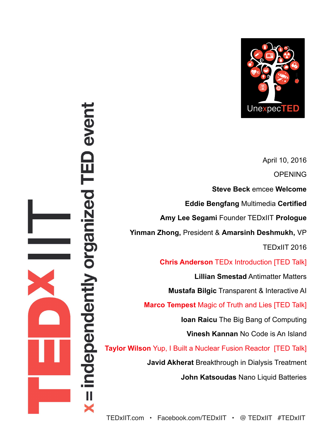

April 10, 2016 OPENING **Steve Beck** emcee **Welcome Eddie Bengfang** Multimedia **Certified Amy Lee Segami** Founder TEDxIIT **Prologue Yinman Zhong,** President & **Amarsinh Deshmukh,** VP TEDxIIT 2016 **Chris Anderson** TEDx Introduction [TED Talk] **Lillian Smestad** Antimatter Matters **Mustafa Bilgic** Transparent & Interactive AI **Marco Tempest** Magic of Truth and Lies [TED Talk] **Ioan Raicu** The Big Bang of Computing **Vinesh Kannan** No Code is An Island **Taylor Wilson** Yup, I Built a Nuclear Fusion Reactor [TED Talk] **Javid Akherat** Breakthrough in Dialysis Treatment **John Katsoudas** Nano Liquid Batteries

**TED event** independently organized